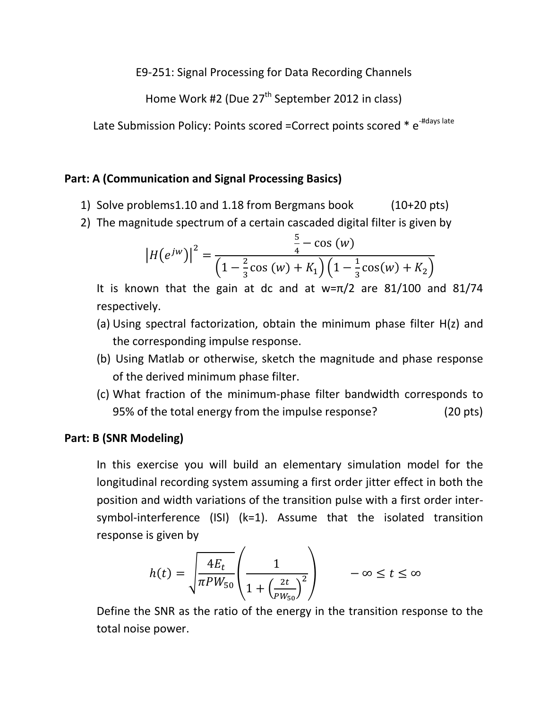E9-251: Signal Processing for Data Recording Channels

Home Work #2 (Due 27<sup>th</sup> September 2012 in class)

Late Submission Policy: Points scored =Correct points scored \* e<sup>-#days late</sup>

## Part: A (Communication and Signal Processing Basics)

- 1) Solve problems1.10 and 1.18 from Bergmans book (10+20 pts)
- 2) The magnitude spectrum of a certain cascaded digital filter is given by

$$
\left| H(e^{jw}) \right|^2 = \frac{\frac{5}{4} - \cos(w)}{\left(1 - \frac{2}{3}\cos(w) + K_1\right)\left(1 - \frac{1}{3}\cos(w) + K_2\right)}
$$

It is known that the gain at dc and at  $w=\pi/2$  are 81/100 and 81/74 respectively.

- (a) Using spectral factorization, obtain the minimum phase filter H(z) and the corresponding impulse response.
- (b) Using Matlab or otherwise, sketch the magnitude and phase response of the derived minimum phase filter.
- (c) What fraction of the minimum-phase filter bandwidth corresponds to 95% of the total energy from the impulse response? (20 pts)

## Part: B (SNR Modeling)

In this exercise you will build an elementary simulation model for the longitudinal recording system assuming a first order jitter effect in both the position and width variations of the transition pulse with a first order intersymbol-interference (ISI) (k=1). Assume that the isolated transition response is given by

$$
h(t) = \sqrt{\frac{4E_t}{\pi P W_{50}}} \left( \frac{1}{1 + \left( \frac{2t}{P W_{50}} \right)^2} \right) \qquad -\infty \le t \le \infty
$$

Define the SNR as the ratio of the energy in the transition response to the total noise power.